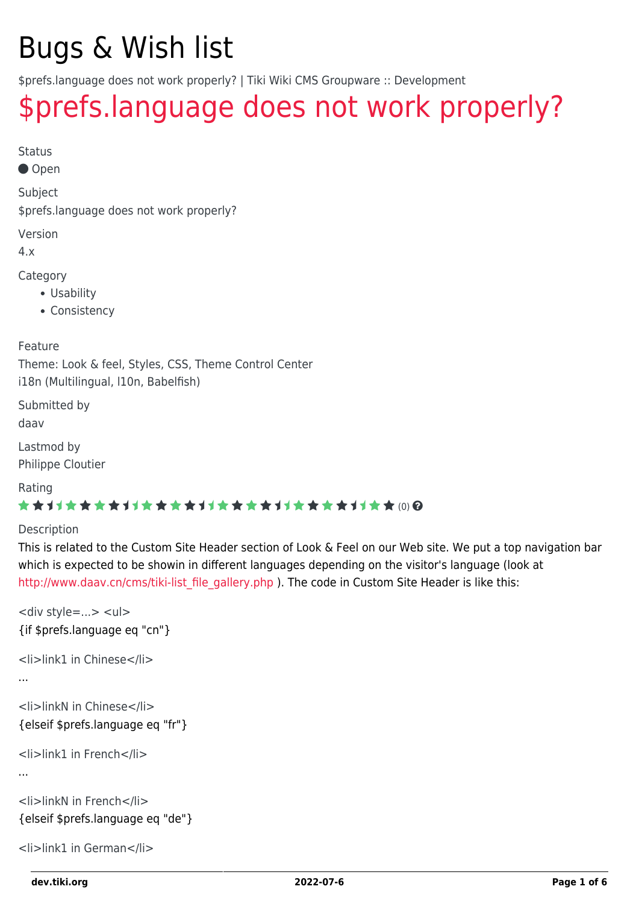# Bugs & Wish list

\$prefs.language does not work properly? | Tiki Wiki CMS Groupware :: Development

## [\\$prefs.language does not work properly?](https://dev.tiki.org/item3088--prefs-language-does-not-work-properly)

Status

Open

Subject

\$prefs.language does not work properly?

Version

4.x

Category

- Usability
- Consistency

Feature

Theme: Look & feel, Styles, CSS, Theme Control Center i18n (Multilingual, l10n, Babelfish)

Submitted by daav

Lastmod by Philippe Cloutier

Rating

#### \*\*\*\*\*\*\*\*\*\*\*\*\*\*\*\*\*\*\*\*\*\*\*\*\*\*\*\*\*\*

#### Description

This is related to the Custom Site Header section of Look & Feel on our Web site. We put a top navigation bar which is expected to be showin in different languages depending on the visitor's language (look at [http://www.daav.cn/cms/tiki-list\\_file\\_gallery.php](http://www.daav.cn/cms/tiki-list_file_gallery.php) ). The code in Custom Site Header is like this:

```
<div style=...> <ul>
{if $prefs.language eq "cn"}
<li>link1 in Chinese</li>
...
<li>linkN in Chinese</li>
{elseif $prefs.language eq "fr"}
<li>link1 in French</li>
...
<li>linkN in French</li>
{elseif $prefs.language eq "de"}
<li>link1 in German</li>
```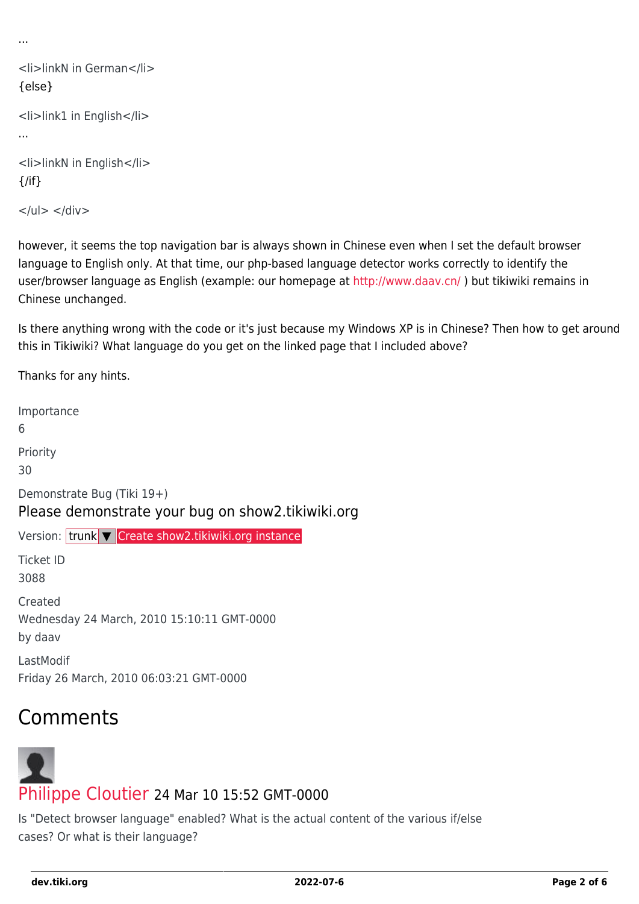```
...
```

```
<li>linkN in German</li>
{else}
<li>link1 in English</li>
...
<li>linkN in English</li>
\{/if\}
```
 $<$ /ul $>$   $<$ /div $>$ 

however, it seems the top navigation bar is always shown in Chinese even when I set the default browser language to English only. At that time, our php-based language detector works correctly to identify the user/browser language as English (example: our homepage at<http://www.daav.cn/>) but tikiwiki remains in Chinese unchanged.

Is there anything wrong with the code or it's just because my Windows XP is in Chinese? Then how to get around this in Tikiwiki? What language do you get on the linked page that I included above?

Thanks for any hints.

Importance 6 Priority 30 Demonstrate Bug (Tiki 19+) Please demonstrate your bug on show2.tikiwiki.org Version: trunk ▼ [Create show2.tikiwiki.org instance](#page--1-0) Ticket ID 3088 Created Wednesday 24 March, 2010 15:10:11 GMT-0000 by daav LastModif Friday 26 March, 2010 06:03:21 GMT-0000

## Comments

# [Philippe Cloutier](https://dev.tiki.org/user232) 24 Mar 10 15:52 GMT-0000

Is "Detect browser language" enabled? What is the actual content of the various if/else cases? Or what is their language?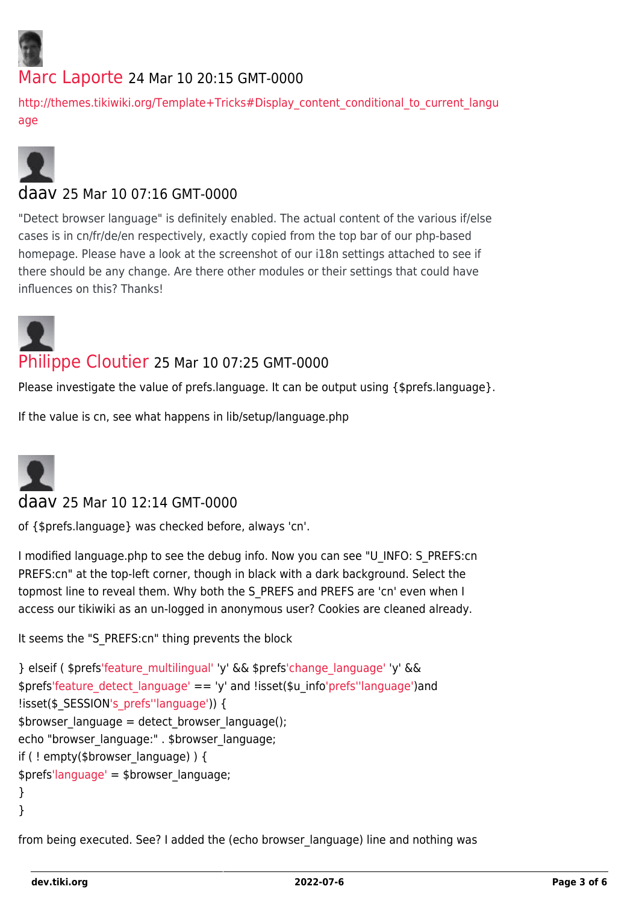

#### [Marc Laporte](https://dev.tiki.org/user11197) 24 Mar 10 20:15 GMT-0000

[http://themes.tikiwiki.org/Template+Tricks#Display\\_content\\_conditional\\_to\\_current\\_langu](http://themes.tikiwiki.org/Template+Tricks#Display_content_conditional_to_current_language) [age](http://themes.tikiwiki.org/Template+Tricks#Display_content_conditional_to_current_language)



#### daav 25 Mar 10 07:16 GMT-0000

"Detect browser language" is definitely enabled. The actual content of the various if/else cases is in cn/fr/de/en respectively, exactly copied from the top bar of our php-based homepage. Please have a look at the screenshot of our i18n settings attached to see if there should be any change. Are there other modules or their settings that could have influences on this? Thanks!



#### [Philippe Cloutier](https://dev.tiki.org/user232) 25 Mar 10 07:25 GMT-0000

Please investigate the value of prefs.language. It can be output using {\$prefs.language}.

If the value is cn, see what happens in lib/setup/language.php



#### daav 25 Mar 10 12:14 GMT-0000

of {\$prefs.language} was checked before, always 'cn'.

I modified language.php to see the debug info. Now you can see "U\_INFO: S\_PREFS:cn PREFS:cn" at the top-left corner, though in black with a dark background. Select the topmost line to reveal them. Why both the S\_PREFS and PREFS are 'cn' even when I access our tikiwiki as an un-logged in anonymous user? Cookies are cleaned already.

It seems the "S\_PREFS:cn" thing prevents the block

```
} elseif ( $prefs'feature_multilingual' 'y' && $prefs'change_language' 'y' &&
$prefs'feature_detect_language' == 'y' and !isset($u_info'prefs''language')and
'language')) {
$browser language = detect browser language();
echo "browser_language:" . $browser_language;
if ( ! empty($browser language) ) {
$prefs'language' = $browser_language;
}
}
```
from being executed. See? I added the (echo browser\_language) line and nothing was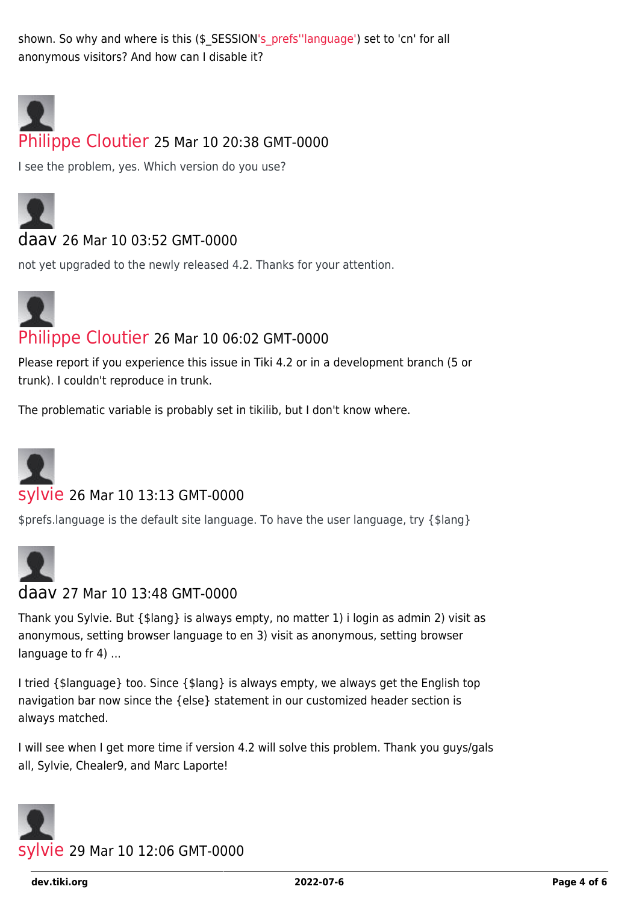shown. So why and where is this (\$\_SESSIO[N's\\_prefs'](https://dev.tiki.org/)['language'](https://dev.tiki.org/)) set to 'cn' for all anonymous visitors? And how can I disable it?



#### [Philippe Cloutier](https://dev.tiki.org/user232) 25 Mar 10 20:38 GMT-0000

I see the problem, yes. Which version do you use?



#### daav 26 Mar 10 03:52 GMT-0000

not yet upgraded to the newly released 4.2. Thanks for your attention.



#### [Philippe Cloutier](https://dev.tiki.org/user232) 26 Mar 10 06:02 GMT-0000

Please report if you experience this issue in Tiki 4.2 or in a development branch (5 or trunk). I couldn't reproduce in trunk.

The problematic variable is probably set in tikilib, but I don't know where.



#### [sylvie](https://dev.tiki.org/user21) 26 Mar 10 13:13 GMT-0000

\$prefs.language is the default site language. To have the user language, try {\$lang}



#### daav 27 Mar 10 13:48 GMT-0000

Thank you Sylvie. But {\$lang} is always empty, no matter 1) i login as admin 2) visit as anonymous, setting browser language to en 3) visit as anonymous, setting browser language to fr 4) ...

I tried {\$language} too. Since {\$lang} is always empty, we always get the English top navigation bar now since the {else} statement in our customized header section is always matched.

I will see when I get more time if version 4.2 will solve this problem. Thank you guys/gals all, Sylvie, Chealer9, and Marc Laporte!

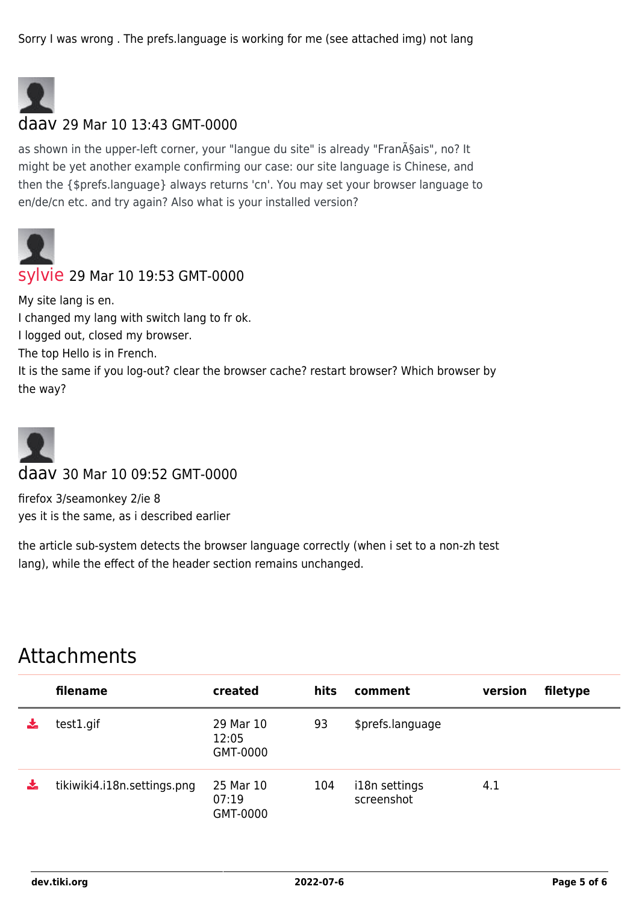Sorry I was wrong . The prefs.language is working for me (see attached img) not lang



#### daav 29 Mar 10 13:43 GMT-0000

as shown in the upper-left corner, your "langue du site" is already "Français", no? It might be yet another example confirming our case: our site language is Chinese, and then the {\$prefs.language} always returns 'cn'. You may set your browser language to en/de/cn etc. and try again? Also what is your installed version?



#### [sylvie](https://dev.tiki.org/user21) 29 Mar 10 19:53 GMT-0000

My site lang is en. I changed my lang with switch lang to fr ok. I logged out, closed my browser. The top Hello is in French. It is the same if you log-out? clear the browser cache? restart browser? Which browser by the way?



daav 30 Mar 10 09:52 GMT-0000

firefox 3/seamonkey 2/ie 8 yes it is the same, as i described earlier

the article sub-system detects the browser language correctly (when i set to a non-zh test lang), while the effect of the header section remains unchanged.

### Attachments

|    | filename                    | created                        | hits | comment                     | version | filetype |
|----|-----------------------------|--------------------------------|------|-----------------------------|---------|----------|
|    | test1.gif                   | 29 Mar 10<br>12:05<br>GMT-0000 | 93   | \$prefs.language            |         |          |
| ÷. | tikiwiki4.i18n.settings.png | 25 Mar 10<br>07:19<br>GMT-0000 | 104  | i18n settings<br>screenshot | 4.1     |          |